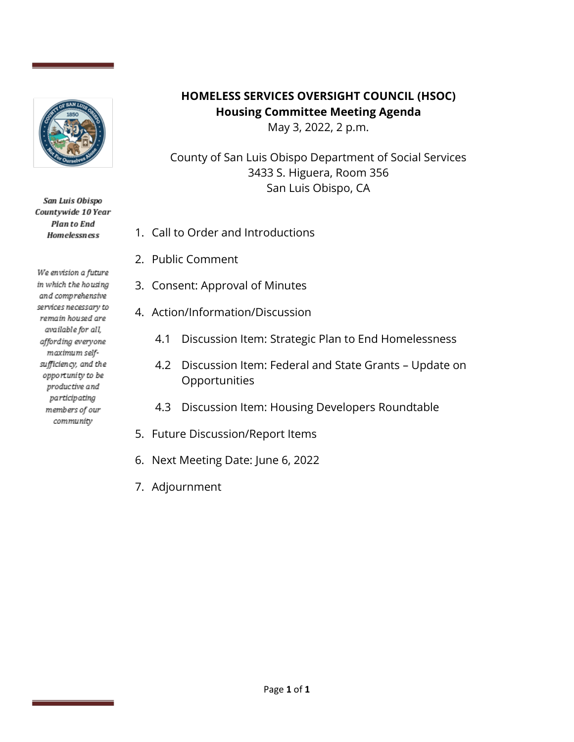

San Luis Obispo Countywide 10 Year **Planto End Homelessness** 

We envision a future in which the housing and comprehensive services necessary to remain housed are available for all, affording everyone maximum selfsufficiency, and the opportunity to be productive and participating members of our community

## **HOMELESS SERVICES OVERSIGHT COUNCIL (HSOC) Housing Committee Meeting Agenda**

May 3, 2022, 2 p.m.

County of San Luis Obispo Department of Social Services 3433 S. Higuera, Room 356 San Luis Obispo, CA

- 1. Call to Order and Introductions
- 2. Public Comment
- 3. Consent: Approval of Minutes
- 4. Action/Information/Discussion
	- 4.1 Discussion Item: Strategic Plan to End Homelessness
	- 4.2 Discussion Item: Federal and State Grants Update on Opportunities
	- 4.3 Discussion Item: Housing Developers Roundtable
- 5. Future Discussion/Report Items
- 6. Next Meeting Date: June 6, 2022
- 7. Adjournment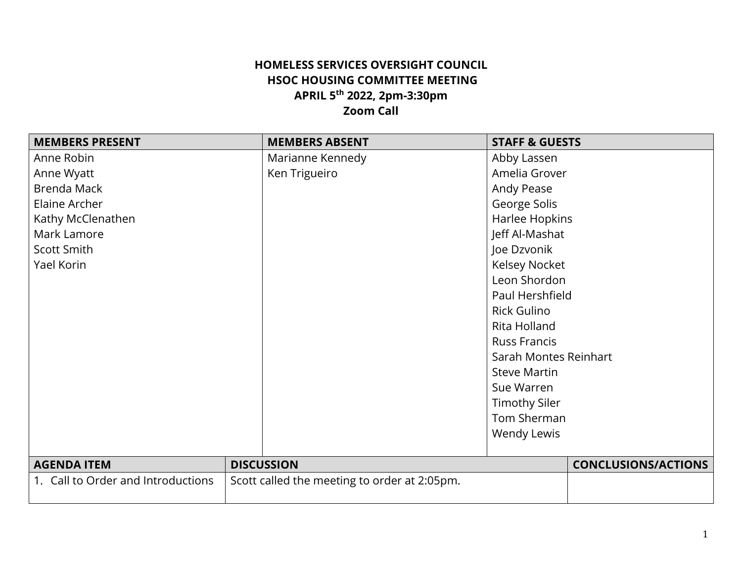## **HOMELESS SERVICES OVERSIGHT COUNCIL HSOC HOUSING COMMITTEE MEETING APRIL 5th 2022, 2pm-3:30pm Zoom Call**

| <b>MEMBERS PRESENT</b>             | <b>MEMBERS ABSENT</b>                        | <b>STAFF &amp; GUESTS</b>  |
|------------------------------------|----------------------------------------------|----------------------------|
| Anne Robin                         | Marianne Kennedy                             | Abby Lassen                |
| Anne Wyatt                         | Ken Trigueiro                                | Amelia Grover              |
| Brenda Mack                        |                                              | Andy Pease                 |
| Elaine Archer                      |                                              | George Solis               |
| Kathy McClenathen                  |                                              | Harlee Hopkins             |
| Mark Lamore                        |                                              | Jeff Al-Mashat             |
| Scott Smith                        |                                              | Joe Dzvonik                |
| Yael Korin                         |                                              | <b>Kelsey Nocket</b>       |
|                                    |                                              | Leon Shordon               |
|                                    |                                              | Paul Hershfield            |
|                                    |                                              | <b>Rick Gulino</b>         |
|                                    |                                              | Rita Holland               |
|                                    |                                              | <b>Russ Francis</b>        |
|                                    |                                              | Sarah Montes Reinhart      |
|                                    |                                              | <b>Steve Martin</b>        |
|                                    |                                              | Sue Warren                 |
|                                    |                                              | <b>Timothy Siler</b>       |
|                                    |                                              | Tom Sherman                |
|                                    |                                              | Wendy Lewis                |
| <b>AGENDA ITEM</b>                 | <b>DISCUSSION</b>                            | <b>CONCLUSIONS/ACTIONS</b> |
| 1. Call to Order and Introductions | Scott called the meeting to order at 2:05pm. |                            |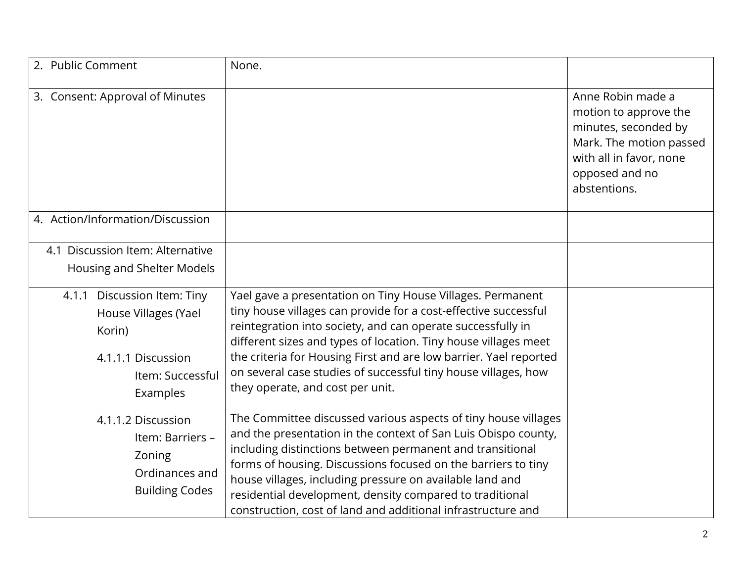| 2. Public Comment                                                                           | None.                                                                                                                                                                                                                                                                                                                                                                                                                                                  |                                                                                                                                                            |
|---------------------------------------------------------------------------------------------|--------------------------------------------------------------------------------------------------------------------------------------------------------------------------------------------------------------------------------------------------------------------------------------------------------------------------------------------------------------------------------------------------------------------------------------------------------|------------------------------------------------------------------------------------------------------------------------------------------------------------|
| 3. Consent: Approval of Minutes                                                             |                                                                                                                                                                                                                                                                                                                                                                                                                                                        | Anne Robin made a<br>motion to approve the<br>minutes, seconded by<br>Mark. The motion passed<br>with all in favor, none<br>opposed and no<br>abstentions. |
| 4. Action/Information/Discussion                                                            |                                                                                                                                                                                                                                                                                                                                                                                                                                                        |                                                                                                                                                            |
| 4.1 Discussion Item: Alternative                                                            |                                                                                                                                                                                                                                                                                                                                                                                                                                                        |                                                                                                                                                            |
| Housing and Shelter Models                                                                  |                                                                                                                                                                                                                                                                                                                                                                                                                                                        |                                                                                                                                                            |
| 4.1.1 Discussion Item: Tiny                                                                 | Yael gave a presentation on Tiny House Villages. Permanent                                                                                                                                                                                                                                                                                                                                                                                             |                                                                                                                                                            |
| House Villages (Yael                                                                        | tiny house villages can provide for a cost-effective successful                                                                                                                                                                                                                                                                                                                                                                                        |                                                                                                                                                            |
| Korin)                                                                                      | reintegration into society, and can operate successfully in<br>different sizes and types of location. Tiny house villages meet                                                                                                                                                                                                                                                                                                                         |                                                                                                                                                            |
| 4.1.1.1 Discussion                                                                          | the criteria for Housing First and are low barrier. Yael reported                                                                                                                                                                                                                                                                                                                                                                                      |                                                                                                                                                            |
| Item: Successful                                                                            | on several case studies of successful tiny house villages, how                                                                                                                                                                                                                                                                                                                                                                                         |                                                                                                                                                            |
| Examples                                                                                    | they operate, and cost per unit.                                                                                                                                                                                                                                                                                                                                                                                                                       |                                                                                                                                                            |
| 4.1.1.2 Discussion<br>Item: Barriers -<br>Zoning<br>Ordinances and<br><b>Building Codes</b> | The Committee discussed various aspects of tiny house villages<br>and the presentation in the context of San Luis Obispo county,<br>including distinctions between permanent and transitional<br>forms of housing. Discussions focused on the barriers to tiny<br>house villages, including pressure on available land and<br>residential development, density compared to traditional<br>construction, cost of land and additional infrastructure and |                                                                                                                                                            |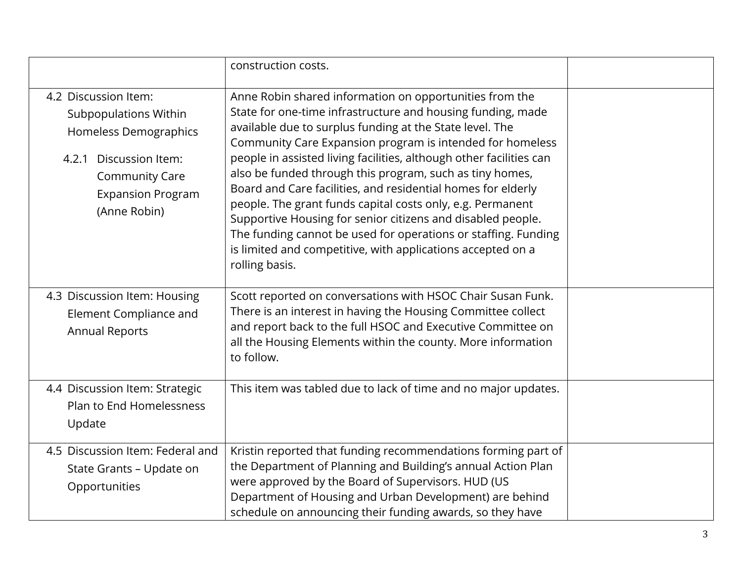|                                                                                                                                                                                 | construction costs.                                                                                                                                                                                                                                                                                                                                                                                                                                                                                                                                                                                                                                                                                                                |  |
|---------------------------------------------------------------------------------------------------------------------------------------------------------------------------------|------------------------------------------------------------------------------------------------------------------------------------------------------------------------------------------------------------------------------------------------------------------------------------------------------------------------------------------------------------------------------------------------------------------------------------------------------------------------------------------------------------------------------------------------------------------------------------------------------------------------------------------------------------------------------------------------------------------------------------|--|
| 4.2 Discussion Item:<br><b>Subpopulations Within</b><br>Homeless Demographics<br>Discussion Item:<br>4.2.1<br><b>Community Care</b><br><b>Expansion Program</b><br>(Anne Robin) | Anne Robin shared information on opportunities from the<br>State for one-time infrastructure and housing funding, made<br>available due to surplus funding at the State level. The<br>Community Care Expansion program is intended for homeless<br>people in assisted living facilities, although other facilities can<br>also be funded through this program, such as tiny homes,<br>Board and Care facilities, and residential homes for elderly<br>people. The grant funds capital costs only, e.g. Permanent<br>Supportive Housing for senior citizens and disabled people.<br>The funding cannot be used for operations or staffing. Funding<br>is limited and competitive, with applications accepted on a<br>rolling basis. |  |
| 4.3 Discussion Item: Housing<br>Element Compliance and<br><b>Annual Reports</b>                                                                                                 | Scott reported on conversations with HSOC Chair Susan Funk.<br>There is an interest in having the Housing Committee collect<br>and report back to the full HSOC and Executive Committee on<br>all the Housing Elements within the county. More information<br>to follow.                                                                                                                                                                                                                                                                                                                                                                                                                                                           |  |
| 4.4 Discussion Item: Strategic<br>Plan to End Homelessness<br>Update                                                                                                            | This item was tabled due to lack of time and no major updates.                                                                                                                                                                                                                                                                                                                                                                                                                                                                                                                                                                                                                                                                     |  |
| 4.5 Discussion Item: Federal and<br>State Grants - Update on<br>Opportunities                                                                                                   | Kristin reported that funding recommendations forming part of<br>the Department of Planning and Building's annual Action Plan<br>were approved by the Board of Supervisors. HUD (US<br>Department of Housing and Urban Development) are behind<br>schedule on announcing their funding awards, so they have                                                                                                                                                                                                                                                                                                                                                                                                                        |  |